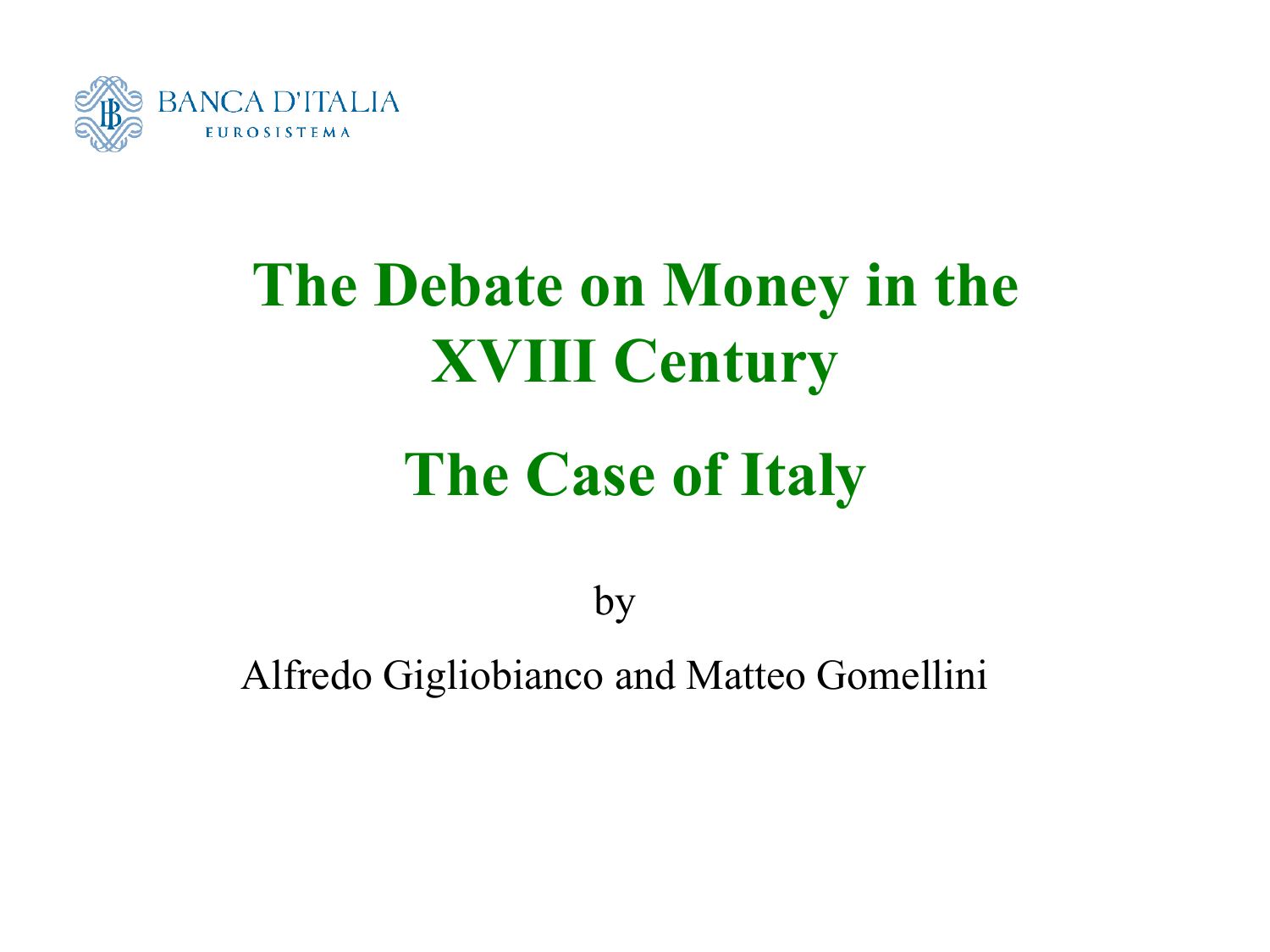

#### **The Debate on Money in the XVIII Century**

### **The Case of Italy**

by

Alfredo Gigliobianco and Matteo Gomellini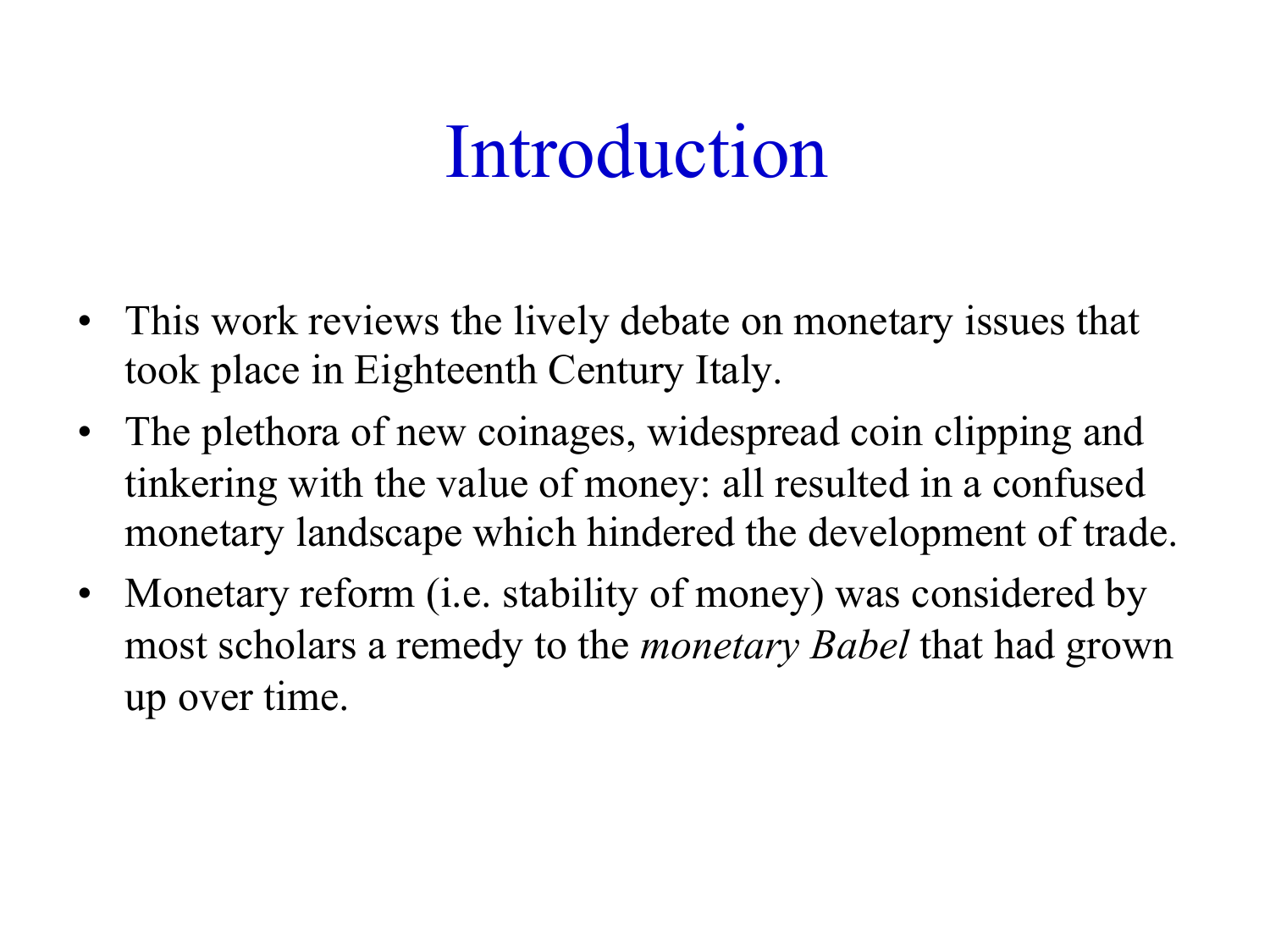## Introduction

- This work reviews the lively debate on monetary issues that took place in Eighteenth Century Italy.
- The plethora of new coinages, widespread coin clipping and tinkering with the value of money: all resulted in a confused monetary landscape which hindered the development of trade.
- Monetary reform (i.e. stability of money) was considered by most scholars a remedy to the *monetary Babel* that had grown up over time.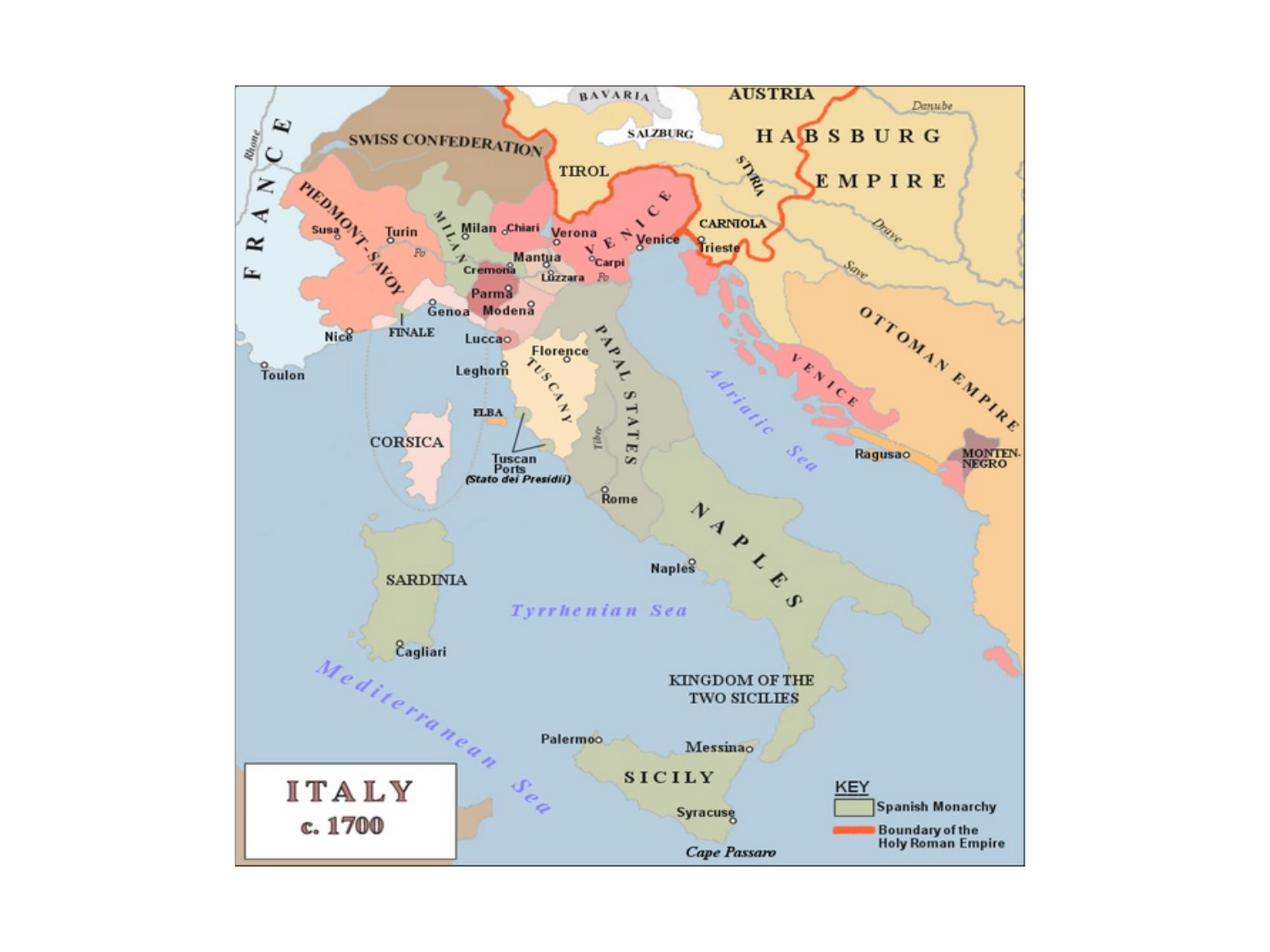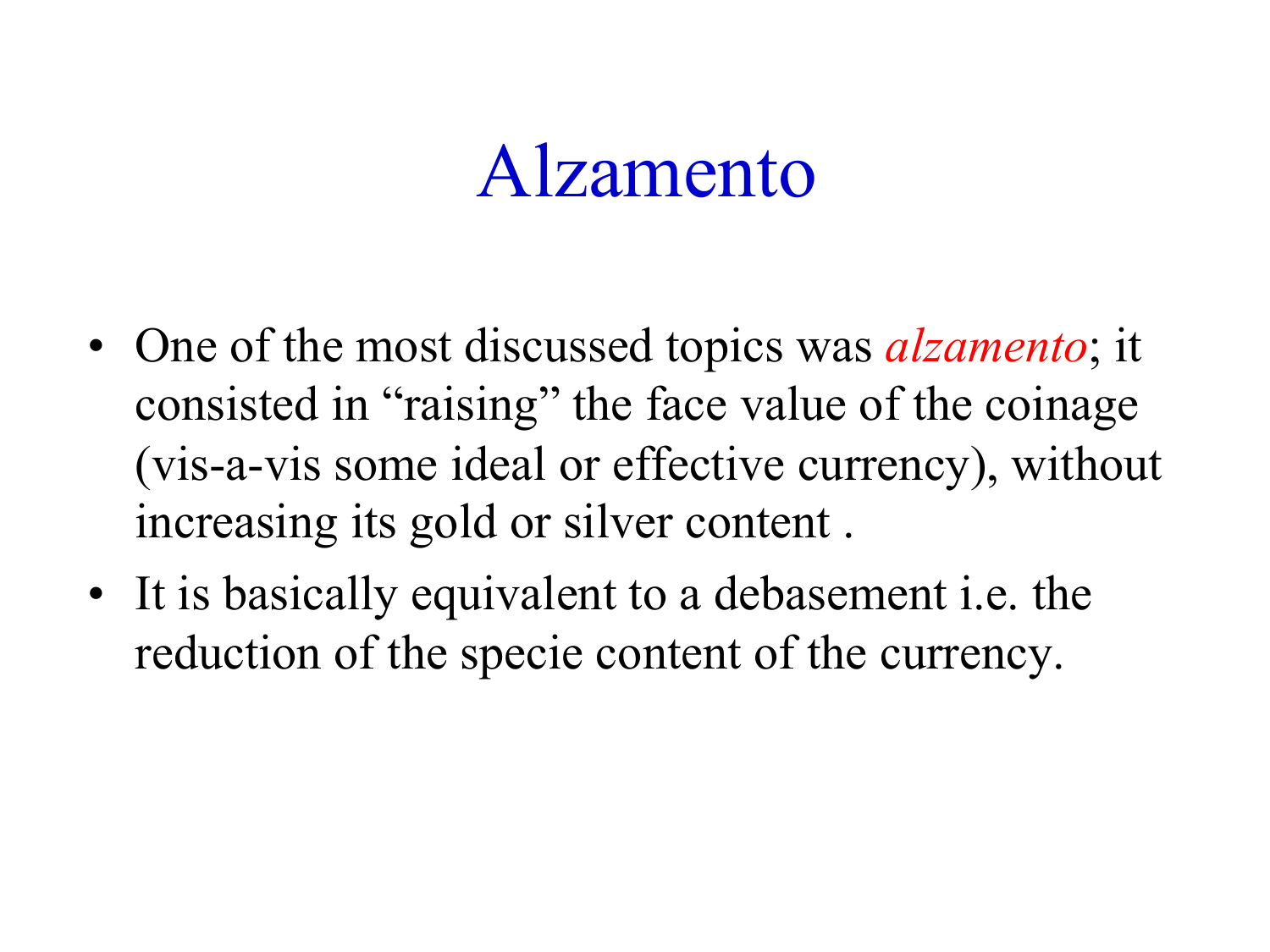#### Alzamento

- One of the most discussed topics was *alzamento*; it consisted in "raising" the face value of the coinage (vis-a-vis some ideal or effective currency), without increasing its gold or silver content .
- It is basically equivalent to a debasement i.e. the reduction of the specie content of the currency.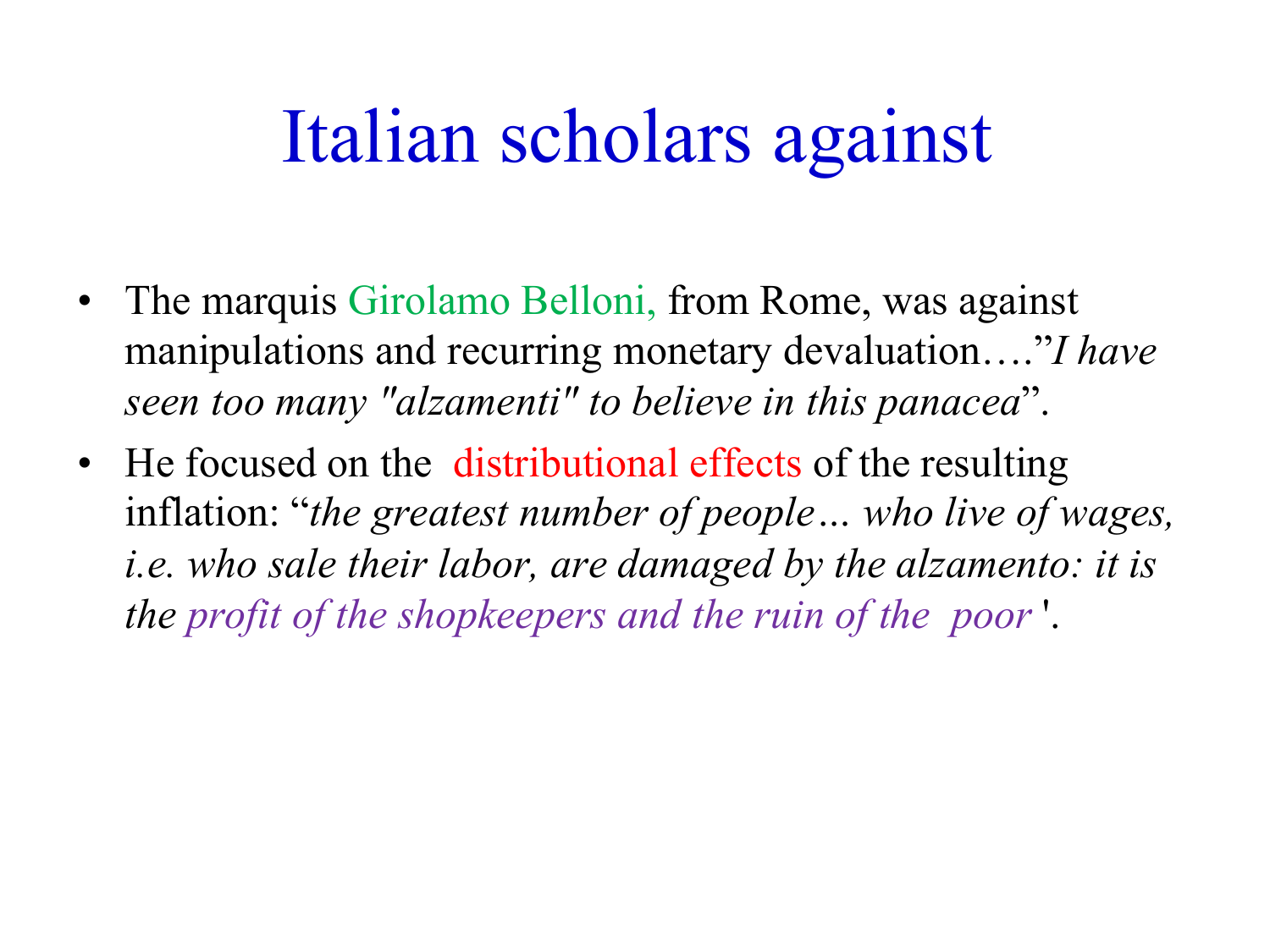## Italian scholars against

- The marquis Girolamo Belloni, from Rome, was against manipulations and recurring monetary devaluation…."*I have seen too many "alzamenti" to believe in this panacea*".
- He focused on the distributional effects of the resulting inflation: "*the greatest number of people… who live of wages, i.e. who sale their labor, are damaged by the alzamento: it is the profit of the shopkeepers and the ruin of the poor* '.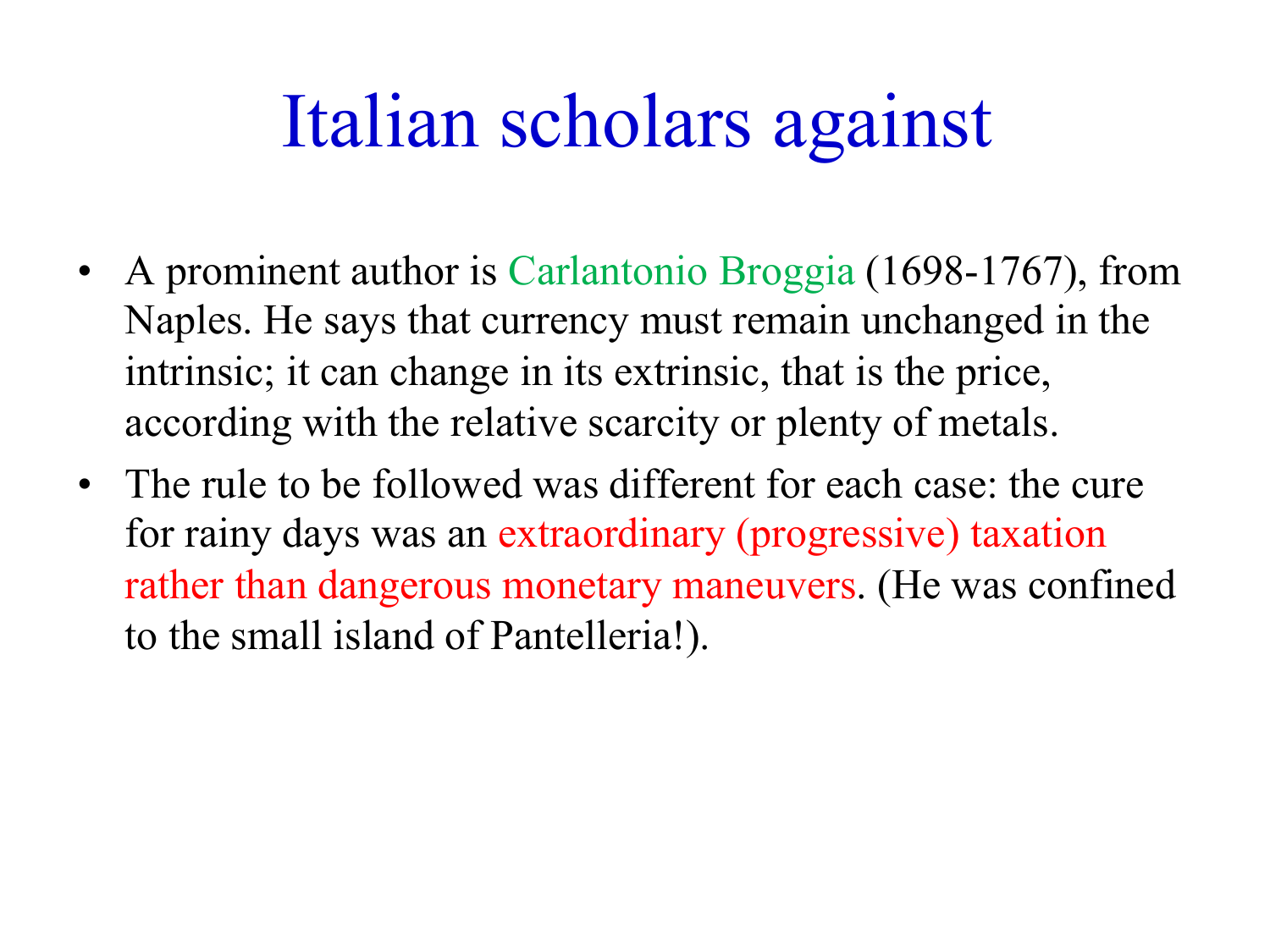# Italian scholars against

- A prominent author is Carlantonio Broggia (1698-1767), from Naples. He says that currency must remain unchanged in the intrinsic; it can change in its extrinsic, that is the price, according with the relative scarcity or plenty of metals.
- The rule to be followed was different for each case: the cure for rainy days was an extraordinary (progressive) taxation rather than dangerous monetary maneuvers. (He was confined to the small island of Pantelleria!).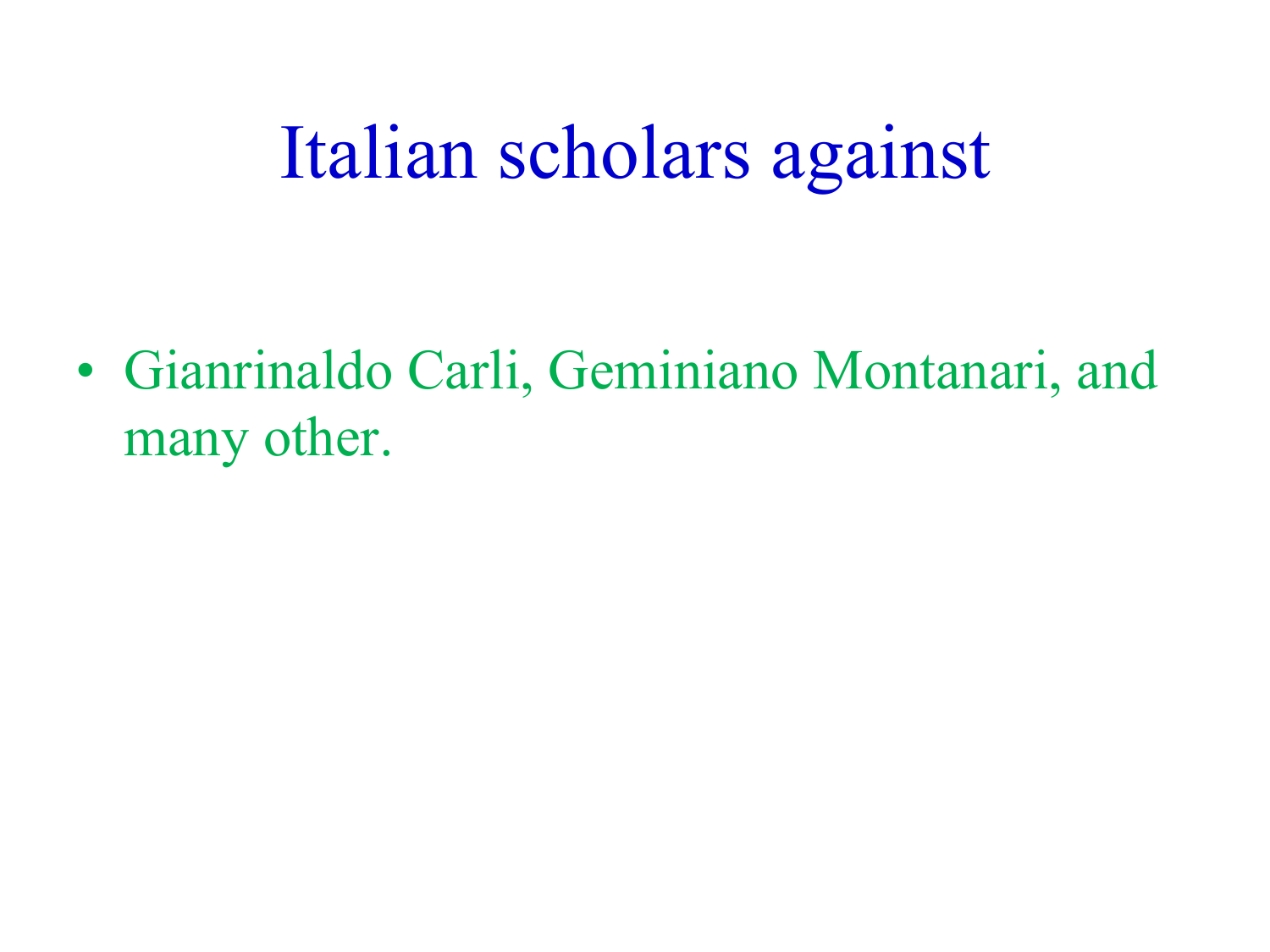# Italian scholars against

• Gianrinaldo Carli, Geminiano Montanari, and many other.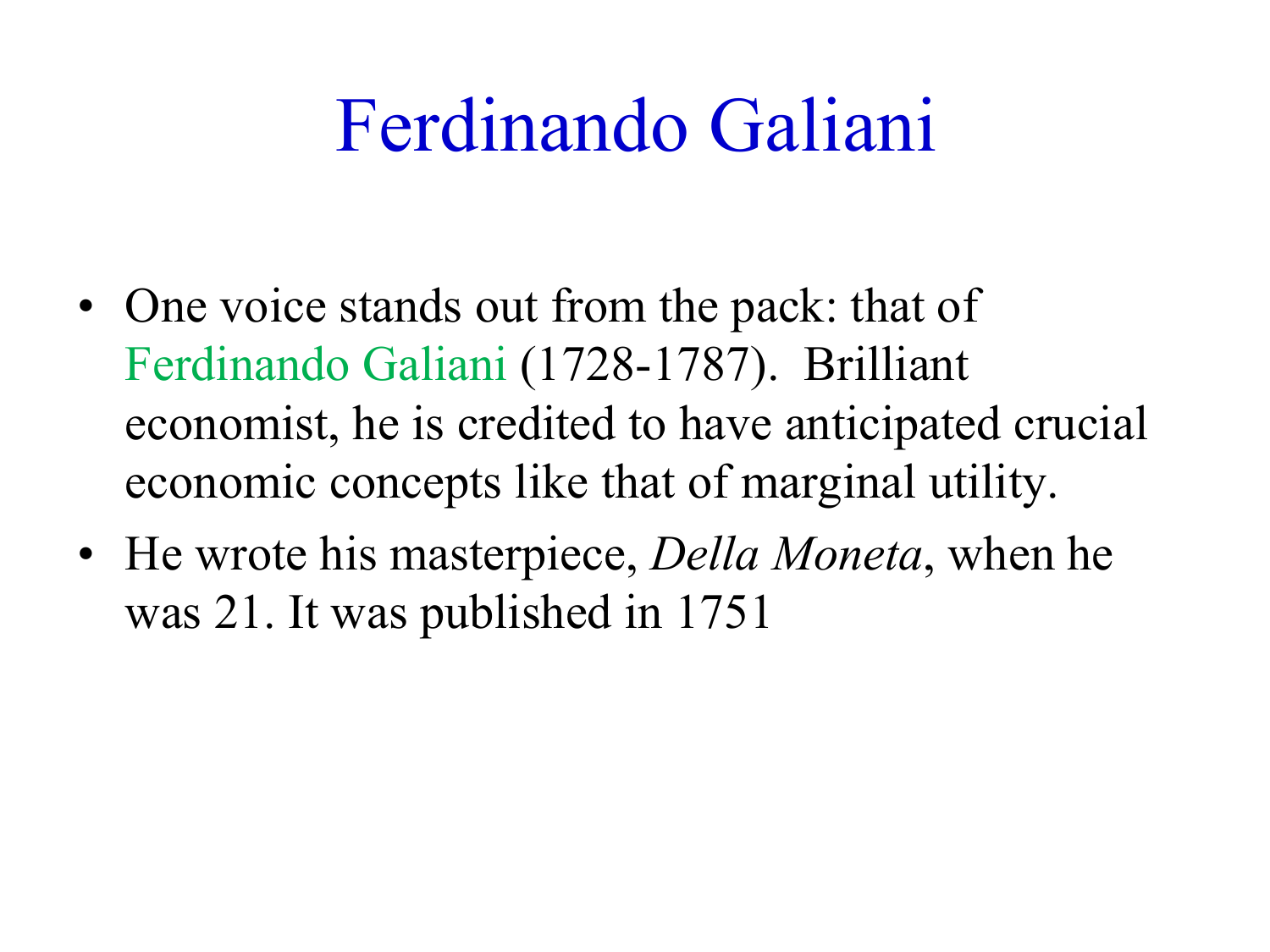- One voice stands out from the pack: that of Ferdinando Galiani (1728-1787). Brilliant economist, he is credited to have anticipated crucial economic concepts like that of marginal utility.
- He wrote his masterpiece, *Della Moneta*, when he was 21. It was published in 1751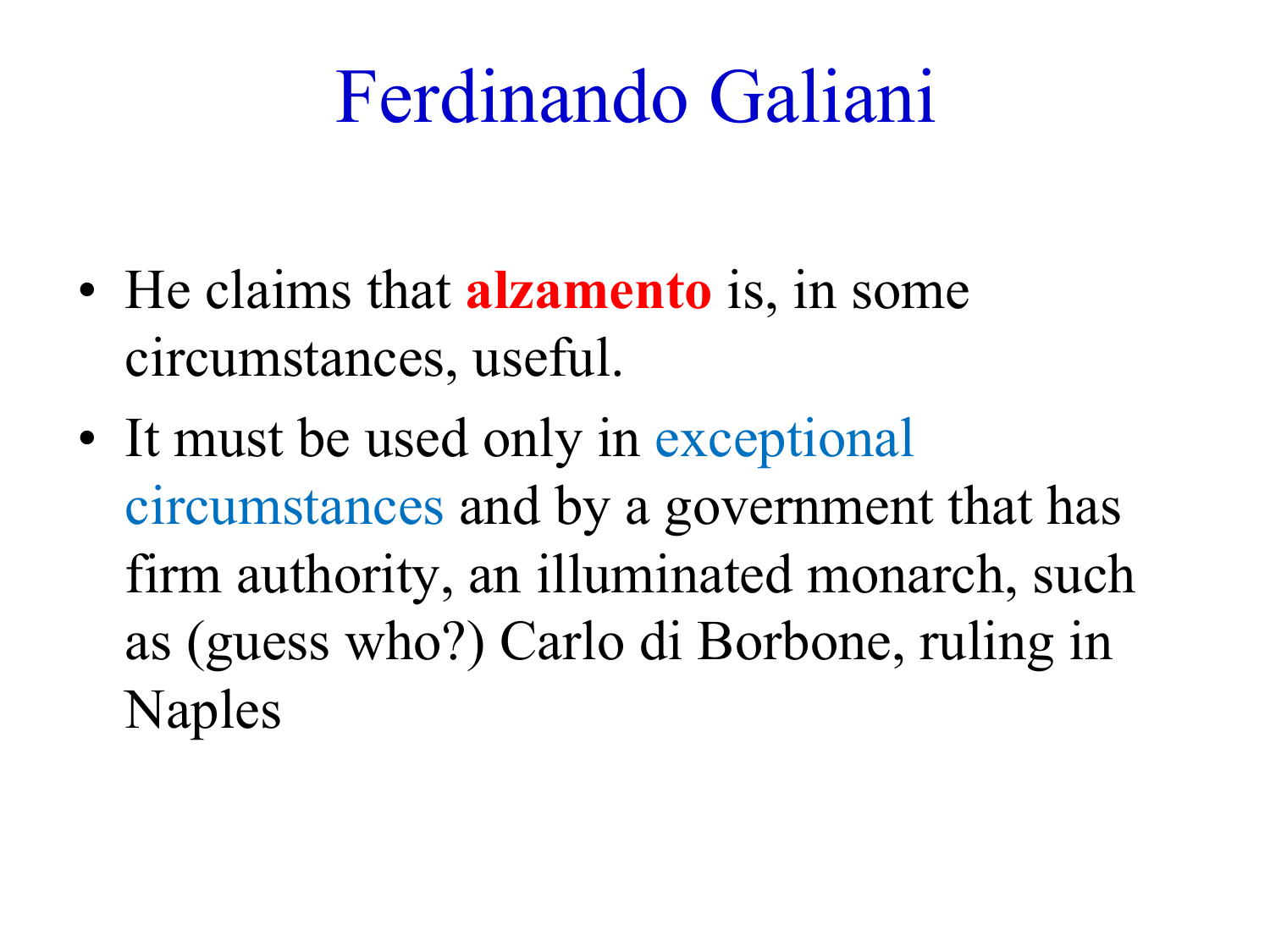- He claims that **alzamento** is, in some circumstances, useful.
- It must be used only in exceptional circumstances and by a government that has firm authority, an illuminated monarch, such as (guess who?) Carlo di Borbone, ruling in Naples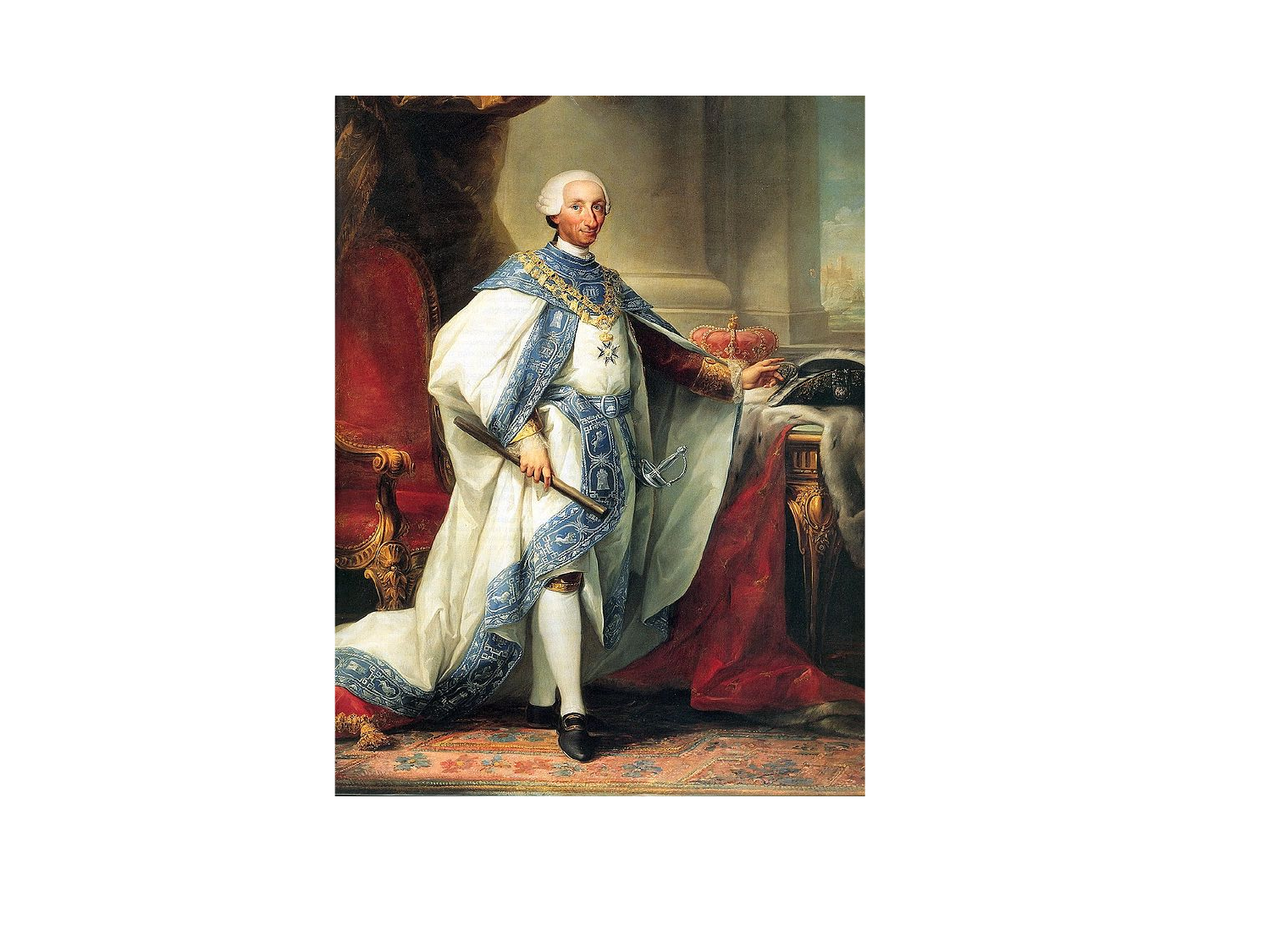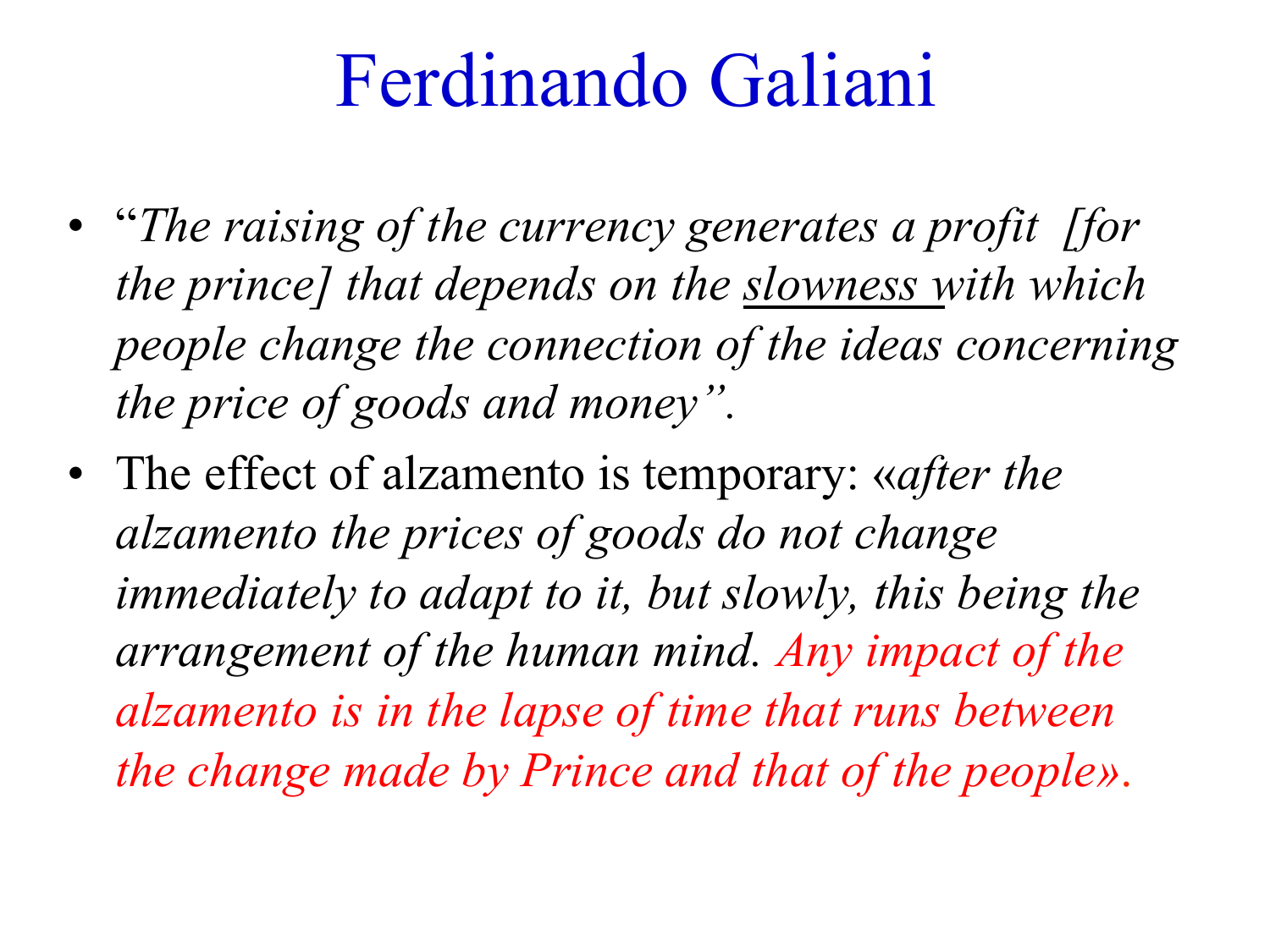- "*The raising of the currency generates a profit [for the prince] that depends on the slowness with which people change the connection of the ideas concerning the price of goods and money".*
- The effect of alzamento is temporary: «*after the alzamento the prices of goods do not change immediately to adapt to it, but slowly, this being the arrangement of the human mind. Any impact of the alzamento is in the lapse of time that runs between the change made by Prince and that of the people»*.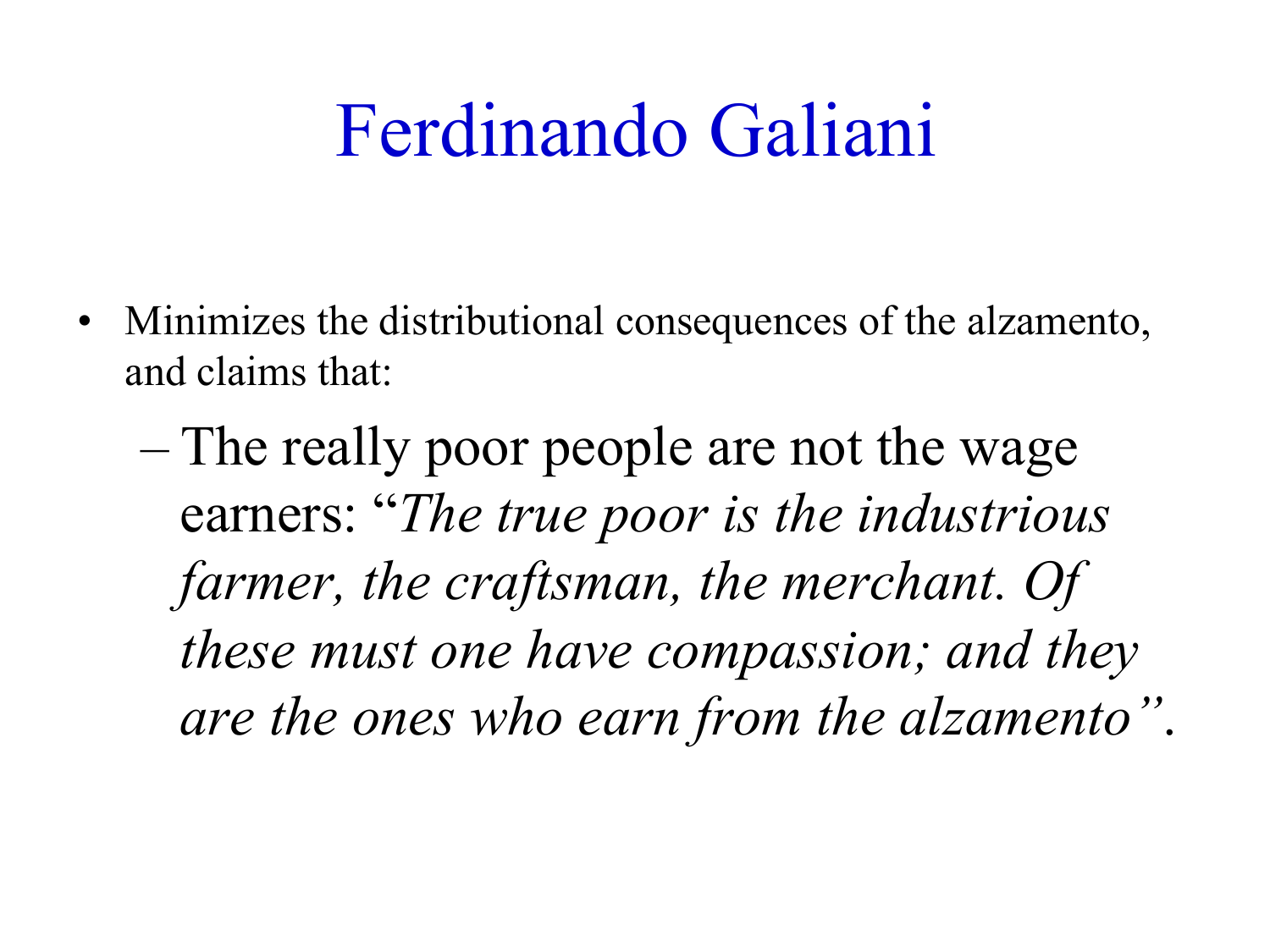- Minimizes the distributional consequences of the alzamento, and claims that:
	- The really poor people are not the wage earners: "*The true poor is the industrious farmer, the craftsman, the merchant. Of these must one have compassion; and they are the ones who earn from the alzamento"*.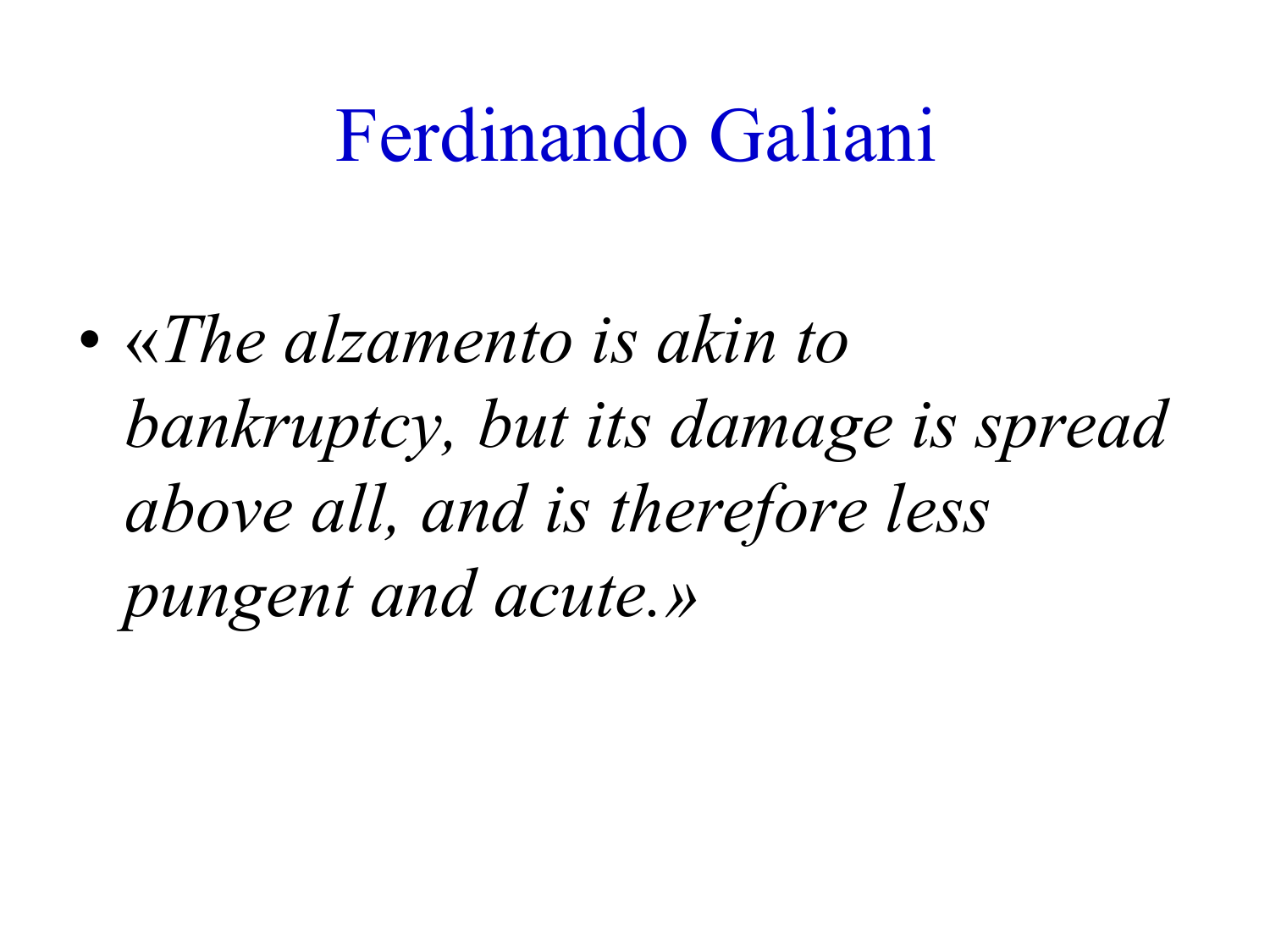• «*The alzamento is akin to bankruptcy, but its damage is spread above all, and is therefore less pungent and acute.»*